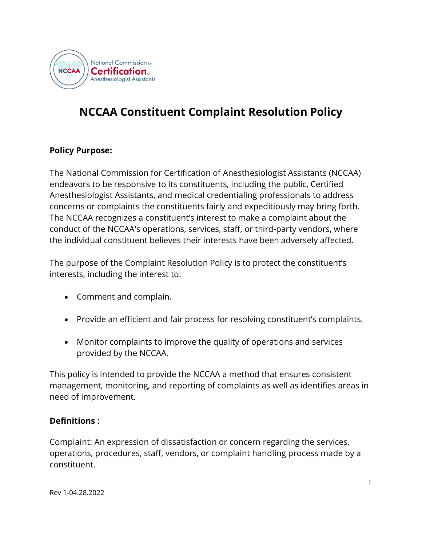

# **NCCAA Constituent Complaint Resolution Policy**

# **Policy Purpose:**

The National Commission for Certification of Anesthesiologist Assistants (NCCAA) endeavors to be responsive to its constituents, including the public, Certified Anesthesiologist Assistants, and medical credentialing professionals to address concerns or complaints the constituents fairly and expeditiously may bring forth. The NCCAA recognizes a constituent's interest to make a complaint about the conduct of the NCCAA's operations, services, staff, or third-party vendors, where the individual constituent believes their interests have been adversely affected.

The purpose of the Complaint Resolution Policy is to protect the constituent's interests, including the interest to:

- Comment and complain.
- Provide an efficient and fair process for resolving constituent's complaints.
- Monitor complaints to improve the quality of operations and services provided by the NCCAA.

This policy is intended to provide the NCCAA a method that ensures consistent management, monitoring, and reporting of complaints as well as identifies areas in need of improvement.

### **Definitions :**

Complaint: An expression of dissatisfaction or concern regarding the services, operations, procedures, staff, vendors, or complaint handling process made by a constituent.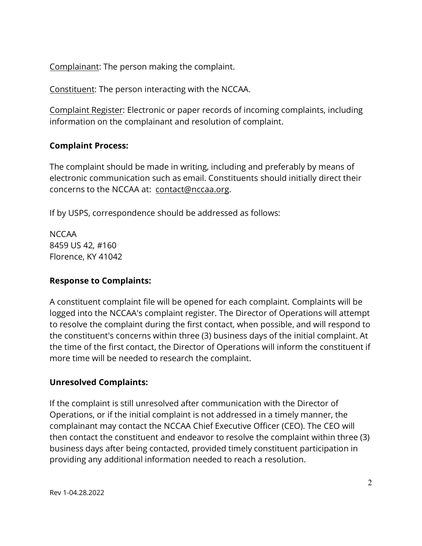Complainant: The person making the complaint.

Constituent: The person interacting with the NCCAA.

Complaint Register: Electronic or paper records of incoming complaints, including information on the complainant and resolution of complaint.

# **Complaint Process:**

The complaint should be made in writing, including and preferably by means of electronic communication such as email. Constituents should initially direct their concerns to the NCCAA at: contact@nccaa.org.

If by USPS, correspondence should be addressed as follows:

NCCAA 8459 US 42, #160 Florence, KY 41042

# **Response to Complaints:**

A constituent complaint file will be opened for each complaint. Complaints will be logged into the NCCAA's complaint register. The Director of Operations will attempt to resolve the complaint during the first contact, when possible, and will respond to the constituent's concerns within three (3) business days of the initial complaint. At the time of the first contact, the Director of Operations will inform the constituent if more time will be needed to research the complaint.

# **Unresolved Complaints:**

If the complaint is still unresolved after communication with the Director of Operations, or if the initial complaint is not addressed in a timely manner, the complainant may contact the NCCAA Chief Executive Officer (CEO). The CEO will then contact the constituent and endeavor to resolve the complaint within three (3) business days after being contacted, provided timely constituent participation in providing any additional information needed to reach a resolution.